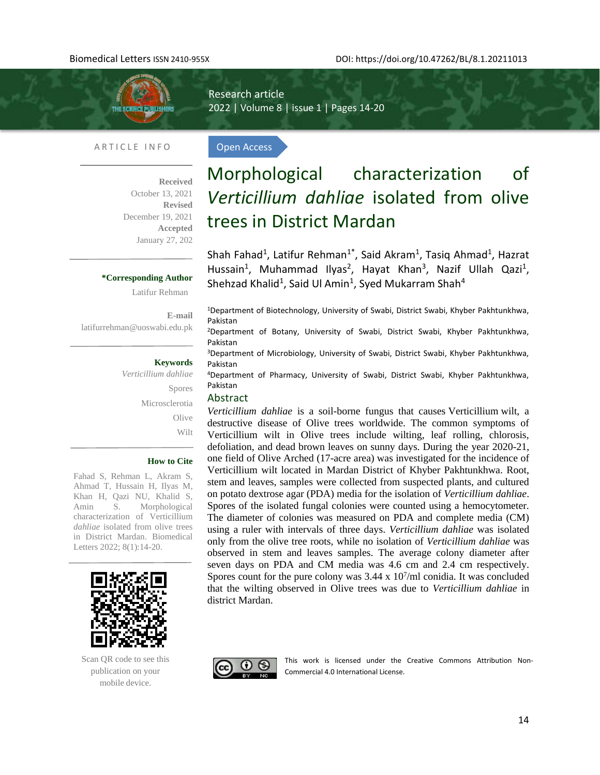

l,

Research article 2022 | Volume 8 | issue 1 | Pages 14-20

Open Access

#### ARTICLE INFO

**Received**  October 13, 2021 **Revised**  December 19, 2021 **Accepted** January 27, 202

#### **\*Corresponding Author**

Latifur Rehman

**E-mail**  [latifurrehman@uoswabi.edu.pk](mailto:latifurrehman@uoswabi.edu.pk)

#### **Keywords**

*Verticillium dahliae* Spores Microsclerotia **Olive** Wilt

#### **How to Cite**

Fahad S, Rehman L, Akram S, Ahmad T, Hussain H, Ilyas M, Khan H, Qazi NU, Khalid S, Amin S. Morphological characterization of Verticillium *dahliae* isolated from olive trees in District Mardan. Biomedical Letters 2022; 8(1):14-20.



Scan QR code to see this publication on your mobile device.

# Morphological characterization of *Verticillium dahliae* isolated from olive trees in District Mardan

Shah Fahad<sup>1</sup>, Latifur Rehman<sup>1\*</sup>, Said Akram<sup>1</sup>, Tasiq Ahmad<sup>1</sup>, Hazrat Hussain<sup>1</sup>, Muhammad Ilyas<sup>2</sup>, Hayat Khan<sup>3</sup>, Nazif Ullah Qazi<sup>1</sup>, Shehzad Khalid<sup>1</sup>, Said Ul Amin<sup>1</sup>, Syed Mukarram Shah<sup>4</sup>

<sup>1</sup>Department of Biotechnology, University of Swabi, District Swabi, Khyber Pakhtunkhwa, Pakistan

<sup>2</sup>Department of Botany, University of Swabi, District Swabi, Khyber Pakhtunkhwa, Pakistan

<sup>3</sup>Department of Microbiology, University of Swabi, District Swabi, Khyber Pakhtunkhwa, Pakistan

<sup>4</sup>Department of Pharmacy, University of Swabi, District Swabi, Khyber Pakhtunkhwa, Pakistan

#### Abstract

*Verticillium dahliae* is a soil-borne fungus that causes Verticillium wilt, a destructive disease of Olive trees worldwide. The common symptoms of Verticillium wilt in Olive trees include wilting, leaf rolling, chlorosis, defoliation, and dead brown leaves on sunny days. During the year 2020-21, one field of Olive Arched (17-acre area) was investigated for the incidence of Verticillium wilt located in Mardan District of Khyber Pakhtunkhwa. Root, stem and leaves, samples were collected from suspected plants, and cultured on potato dextrose agar (PDA) media for the isolation of *Verticillium dahliae*. Spores of the isolated fungal colonies were counted using a hemocytometer. The diameter of colonies was measured on PDA and complete media (CM) using a ruler with intervals of three days. *Verticillium dahliae* was isolated only from the olive tree roots, while no isolation of *Verticillium dahliae* was observed in stem and leaves samples. The average colony diameter after seven days on PDA and CM media was 4.6 cm and 2.4 cm respectively. Spores count for the pure colony was  $3.44 \times 10^7$ /ml conidia. It was concluded that the wilting observed in Olive trees was due to *Verticillium dahliae* in district Mardan.



This work is licensed under the Creative Commons Attribution Non-Commercial 4.0 International License.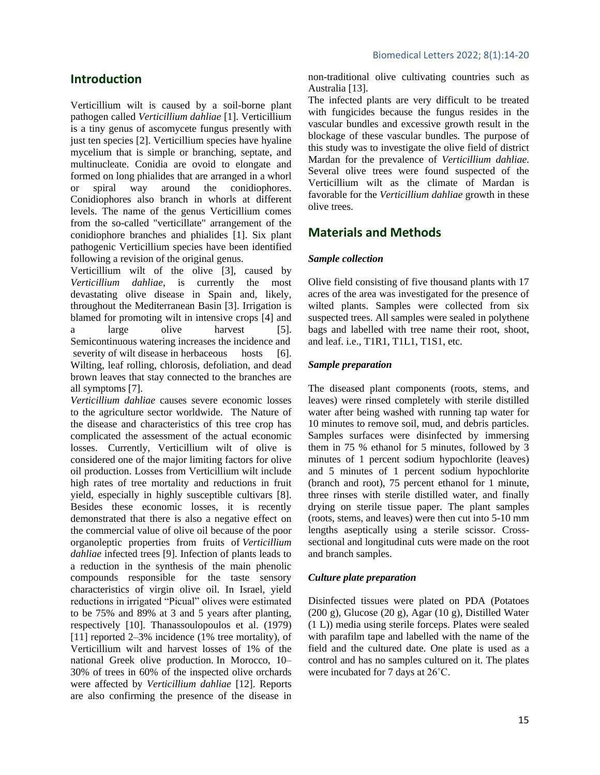# **Introduction**

Verticillium wilt is caused by a soil-borne plant pathogen called *Verticillium dahliae* [1]. Verticillium is a tiny genus of ascomycete fungus presently with just ten species [2]. Verticillium species have hyaline mycelium that is simple or branching, septate, and multinucleate. Conidia are ovoid to elongate and formed on long phialides that are arranged in a whorl or spiral way around the conidiophores. Conidiophores also branch in whorls at different levels. The name of the genus Verticillium comes from the so-called "verticillate" arrangement of the conidiophore branches and phialides [1]. Six plant pathogenic Verticillium species have been identified following a revision of the original genus.

Verticillium wilt of the olive [3], caused by *Verticillium dahliae*, is currently the most devastating olive disease in Spain and, likely, throughout the Mediterranean Basin [3]. Irrigation is blamed for promoting wilt in intensive crops [4] and a large olive harvest [5]. Semicontinuous watering increases the incidence and severity of wilt disease in herbaceous hosts [6]. Wilting, leaf rolling, chlorosis, defoliation, and dead brown leaves that stay connected to the branches are all symptoms [7].

*Verticillium dahliae* causes severe economic losses to the agriculture sector worldwide. The Nature of the disease and characteristics of this tree crop has complicated the assessment of the actual economic losses. Currently, Verticillium wilt of olive is considered one of the major limiting factors for olive oil production. Losses from Verticillium wilt include high rates of tree mortality and reductions in fruit yield, especially in highly susceptible cultivars [8]. Besides these economic losses, it is recently demonstrated that there is also a negative effect on the commercial value of olive oil because of the poor organoleptic properties from fruits of *Verticillium dahliae* infected trees [9]. Infection of plants leads to a reduction in the synthesis of the main phenolic compounds responsible for the taste sensory characteristics of virgin olive oil. In Israel, yield reductions in irrigated "Picual" olives were estimated to be 75% and 89% at 3 and 5 years after planting, respectively [10]. Thanassoulopoulos et al. [\(1979\)](https://link.springer.com/article/10.1007/s11104-010-0629-2#ref-CR301) [11] reported 2–3% incidence (1% tree mortality), of Verticillium wilt and harvest losses of 1% of the national Greek olive production. In Morocco, 10– 30% of trees in 60% of the inspected olive orchards were affected by *Verticillium dahliae* [12]. Reports are also confirming the presence of the disease in non-traditional olive cultivating countries such as Australia [13].

The infected plants are very difficult to be treated with fungicides because the fungus resides in the vascular bundles and excessive growth result in the blockage of these vascular bundles. The purpose of this study was to investigate the olive field of district Mardan for the prevalence of *Verticillium dahliae*. Several olive trees were found suspected of the Verticillium wilt as the climate of Mardan is favorable for the *Verticillium dahliae* growth in these olive trees.

# **Materials and Methods**

# *Sample collection*

Olive field consisting of five thousand plants with 17 acres of the area was investigated for the presence of wilted plants. Samples were collected from six suspected trees. All samples were sealed in polythene bags and labelled with tree name their root, shoot, and leaf. i.e., T1R1, T1L1, T1S1, etc.

# *Sample preparation*

The diseased plant components (roots, stems, and leaves) were rinsed completely with sterile distilled water after being washed with running tap water for 10 minutes to remove soil, mud, and debris particles. Samples surfaces were disinfected by immersing them in 75 % ethanol for 5 minutes, followed by 3 minutes of 1 percent sodium hypochlorite (leaves) and 5 minutes of 1 percent sodium hypochlorite (branch and root), 75 percent ethanol for 1 minute, three rinses with sterile distilled water, and finally drying on sterile tissue paper. The plant samples (roots, stems, and leaves) were then cut into 5-10 mm lengths aseptically using a sterile scissor. Crosssectional and longitudinal cuts were made on the root and branch samples.

# *Culture plate preparation*

Disinfected tissues were plated on PDA (Potatoes (200 g), Glucose (20 g), Agar (10 g), Distilled Water (1 L)) media using sterile forceps. Plates were sealed with parafilm tape and labelled with the name of the field and the cultured date. One plate is used as a control and has no samples cultured on it. The plates were incubated for 7 days at 26˚C.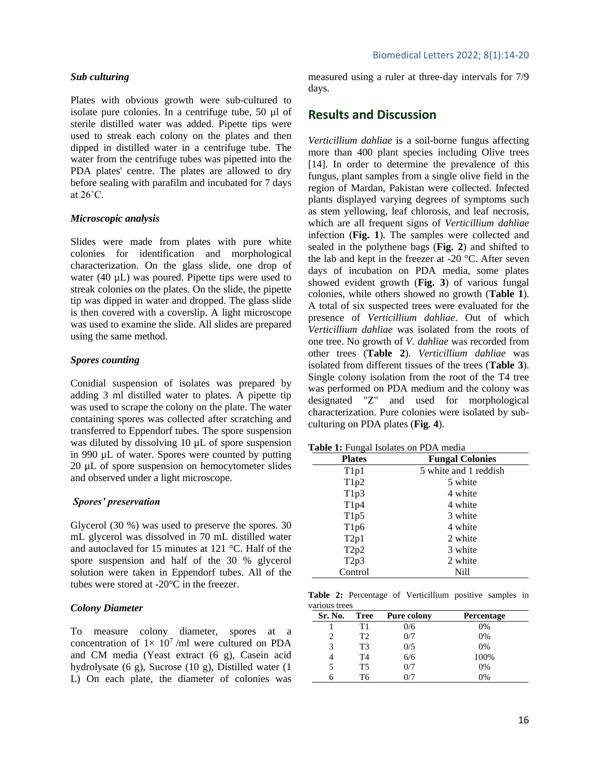#### *Sub culturing*

Plates with obvious growth were sub-cultured to isolate pure colonies. In a centrifuge tube, 50 µl of sterile distilled water was added. Pipette tips were used to streak each colony on the plates and then dipped in distilled water in a centrifuge tube. The water from the centrifuge tubes was pipetted into the PDA plates' centre. The plates are allowed to dry before sealing with parafilm and incubated for 7 days at  $26^{\circ}$ C.

#### *Microscopic analysis*

Slides were made from plates with pure white colonies for identification and morphological characterization. On the glass slide, one drop of water (40  $\mu$ L) was poured. Pipette tips were used to streak colonies on the plates. On the slide, the pipette tip was dipped in water and dropped. The glass slide is then covered with a coverslip. A light microscope was used to examine the slide. All slides are prepared using the same method.

### *Spores counting*

Conidial suspension of isolates was prepared by adding 3 ml distilled water to plates. A pipette tip was used to scrape the colony on the plate. The water containing spores was collected after scratching and transferred to Eppendorf tubes. The spore suspension was diluted by dissolving 10  $\mu$ L of spore suspension in 990 µL of water. Spores were counted by putting 20 µL of spore suspension on hemocytometer slides and observed under a light microscope.

### *Spores' preservation*

Glycerol (30 %) was used to preserve the spores. 30 mL glycerol was dissolved in 70 mL distilled water and autoclaved for 15 minutes at 121 °C. Half of the spore suspension and half of the 30 % glycerol solution were taken in Eppendorf tubes. All of the tubes were stored at -20°C in the freezer.

### *Colony Diameter*

To measure colony diameter, spores at a concentration of  $1 \times 10^7$ /ml were cultured on PDA and CM media (Yeast extract (6 g), Casein acid hydrolysate (6 g), Sucrose (10 g), Distilled water (1 L) On each plate, the diameter of colonies was measured using a ruler at three-day intervals for 7/9 days.

# **Results and Discussion**

*Verticillium dahliae* is a soil-borne fungus affecting more than 400 plant species including Olive trees [14]. In order to determine the prevalence of this fungus, plant samples from a single olive field in the region of Mardan, Pakistan were collected. Infected plants displayed varying degrees of symptoms such as stem yellowing, leaf chlorosis, and leaf necrosis, which are all frequent signs of *Verticillium dahliae*  infection (**Fig. 1**). The samples were collected and sealed in the polythene bags (**Fig. 2**) and shifted to the lab and kept in the freezer at -20 °C. After seven days of incubation on PDA media, some plates showed evident growth (**Fig. 3**) of various fungal colonies, while others showed no growth (**Table 1**). A total of six suspected trees were evaluated for the presence of *Verticillium dahliae*. Out of which *Verticillium dahliae* was isolated from the roots of one tree. No growth of *V. dahliae* was recorded from other trees (**Table 2**). *Verticillium dahliae* was isolated from different tissues of the trees (**Table 3**). Single colony isolation from the root of the T4 tree was performed on PDA medium and the colony was designated "Z" and used for morphological characterization. Pure colonies were isolated by subculturing on PDA plates (**Fig. 4**).

**Table 1:** Fungal Isolates on PDA media

| <b>Plates</b>     | <b>Fungal Colonies</b> |  |
|-------------------|------------------------|--|
| T1p1              | 5 white and 1 reddish  |  |
| T1p2              | 5 white                |  |
| T1p3              | 4 white                |  |
| T1p4              | 4 white                |  |
| T1p5              | 3 white                |  |
| T1p6              | 4 white                |  |
| T2p1              | 2 white                |  |
| T2p2              | 3 white                |  |
| T <sub>2p</sub> 3 | 2 white                |  |
| Control           | Nill                   |  |

**Table 2:** Percentage of Verticillium positive samples in various trees

| Sr. No. | Tree | <b>Pure colony</b> | <b>Percentage</b> |
|---------|------|--------------------|-------------------|
|         | Τ1   | 0/6                | 0%                |
| 2       | T2   | 0/7                | 0%                |
| 3       | T3   | 0/5                | 0%                |
| 4       | T4   | 6/6                | 100%              |
| 5       | Т5   | 0/7                | 0%                |
|         | T6   |                    | 0%                |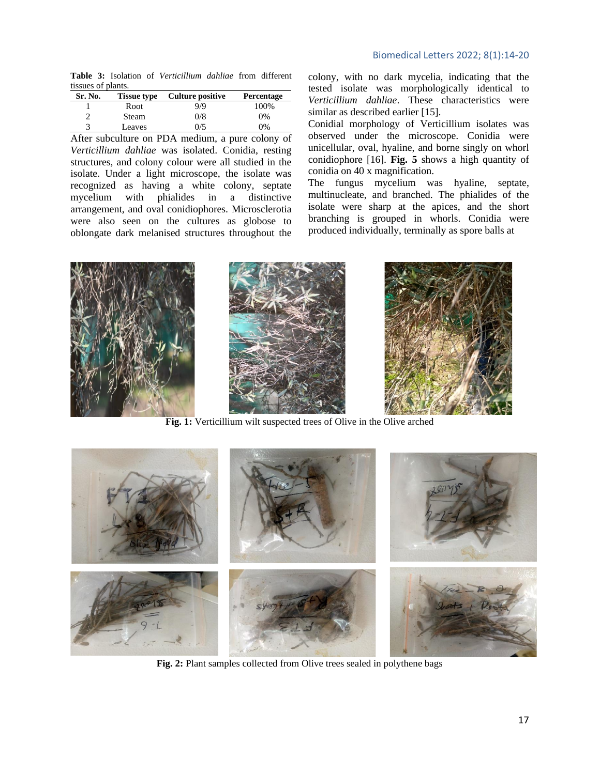**Table 3:** Isolation of *Verticillium dahliae* from different tissues of plants.

| Sr. No. | <b>Tissue type</b> | Culture positive | Percentage |
|---------|--------------------|------------------|------------|
|         | Root               | 9/9              | 100%       |
|         | Steam              | 0/8              | $0\%$      |
|         | Leaves             | 0/5              | 9%         |

After subculture on PDA medium, a pure colony of *Verticillium dahliae* was isolated. Conidia, resting structures, and colony colour were all studied in the isolate. Under a light microscope, the isolate was recognized as having a white colony, septate mycelium with phialides in a distinctive arrangement, and oval conidiophores. Microsclerotia were also seen on the cultures as globose to oblongate dark melanised structures throughout the

colony, with no dark mycelia, indicating that the tested isolate was morphologically identical to *Verticillium dahliae*. These characteristics were similar as described earlier [15].

Conidial morphology of Verticillium isolates was observed under the microscope. Conidia were unicellular, oval, hyaline, and borne singly on whorl conidiophore [16]. **Fig. 5** shows a high quantity of conidia on 40 x magnification.

The fungus mycelium was hyaline, septate, multinucleate, and branched. The phialides of the isolate were sharp at the apices, and the short branching is grouped in whorls. Conidia were produced individually, terminally as spore balls at



**Fig. 1:** Verticillium wilt suspected trees of Olive in the Olive arched



**Fig. 2:** Plant samples collected from Olive trees sealed in polythene bags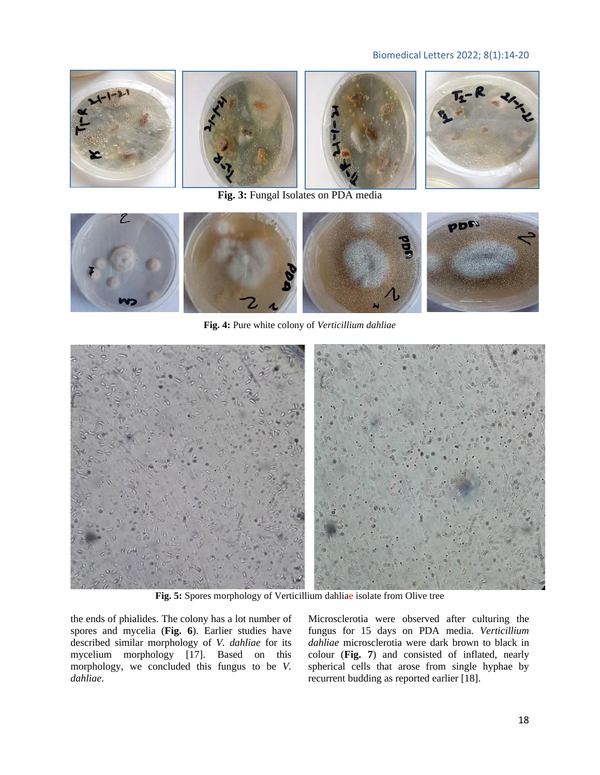# Biomedical Letters 2022; 8(1):14-20



**Fig. 3:** Fungal Isolates on PDA media



**Fig. 4:** Pure white colony of *Verticillium dahliae*



**Fig. 5:** Spores morphology of Verticillium dahliae isolate from Olive tree

the ends of phialides. The colony has a lot number of spores and mycelia (**Fig. 6**). Earlier studies have described similar morphology of *V. dahliae* for its mycelium morphology [17]. Based on this morphology, we concluded this fungus to be *V. dahliae*.

Microsclerotia were observed after culturing the fungus for 15 days on PDA media. *Verticillium dahliae* microsclerotia were dark brown to black in colour (**Fig. 7**) and consisted of inflated, nearly spherical cells that arose from single hyphae by recurrent budding as reported earlier [18].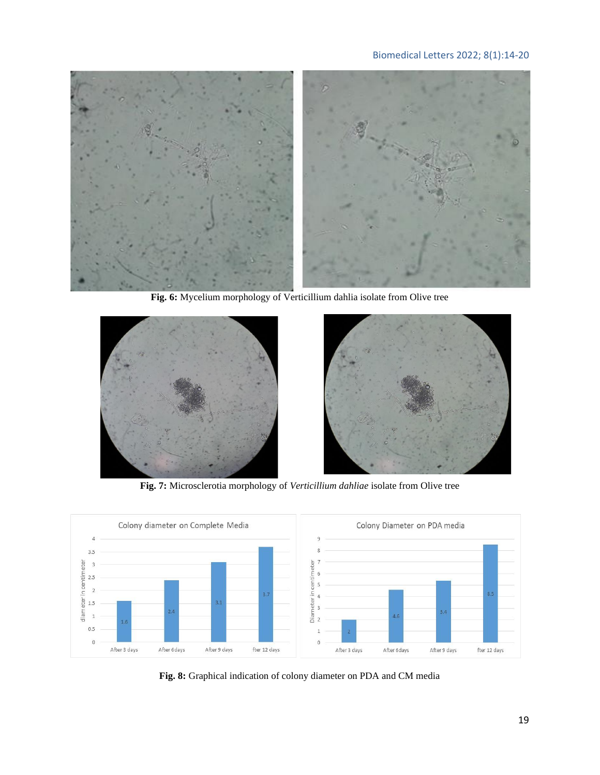# Biomedical Letters 2022; 8(1):14-20



**Fig. 6:** Mycelium morphology of Verticillium dahlia isolate from Olive tree



**Fig. 7:** Microsclerotia morphology of *Verticillium dahliae* isolate from Olive tree



**Fig. 8:** Graphical indication of colony diameter on PDA and CM media